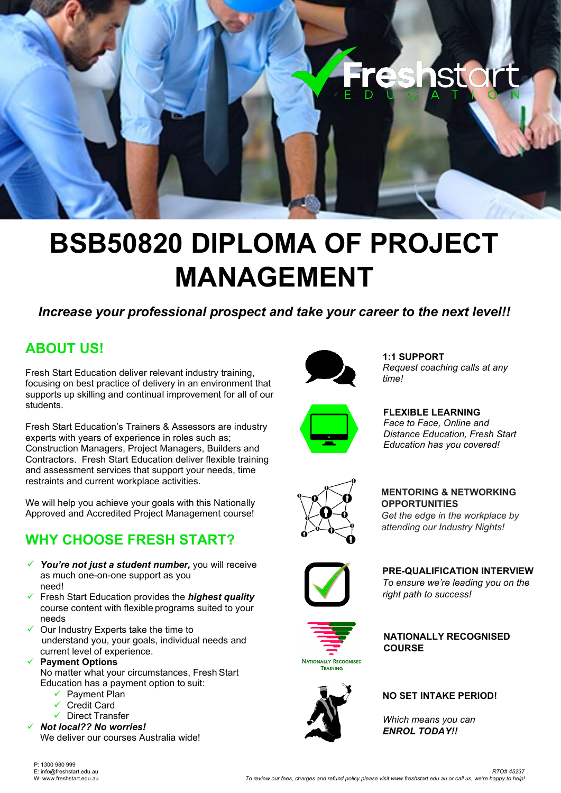

# **BSB50820 DIPLOMA OF PROJECT MANAGEMENT**

## *Increase your professional prospect and take your career to the next level!!*

# **ABOUT US!**

Fresh Start Education deliver relevant industry training, focusing on best practice of delivery in an environment that supports up skilling and continual improvement for all of our students.

Fresh Start Education's Trainers & Assessors are industry experts with years of experience in roles such as; Construction Managers, Project Managers, Builders and Contractors. Fresh Start Education deliver flexible training and assessment services that support your needs, time restraints and current workplace activities.

We will help you achieve your goals with this Nationally Approved and Accredited Project Management course!

# **WHY CHOOSE FRESH START?**

- *You're not just a student number,* you will receive as much one-on-one support as you need!
- Fresh Start Education provides the *highest quality*  course content with flexible programs suited to your needs
- Our Industry Experts take the time to understand you, your goals, individual needs and current level of experience.
- **Payment Options**
	- No matter what your circumstances, Fresh Start Education has a payment option to suit:
		- $\checkmark$  Payment Plan
		- $\checkmark$  Credit Card
		- Direct Transfer
- *Not local?? No worries!* We deliver our courses Australia wide!



**1:1 SUPPORT** *Request coaching calls at any time!*



**FLEXIBLE LEARNING** *Face to Face, Online and Distance Education, Fresh Start Education has you covered!* 



**MENTORING & NETWORKING OPPORTUNITIES**

*Get the edge in the workplace by attending our Industry Nights!*



**PRE-QUALIFICATION INTERVIEW**

*To ensure we're leading you on the right path to success!*



**NATIONALLY RECOGNISED COURSE**



**NO SET INTAKE PERIOD!**

*Which means you can ENROL TODAY!!*